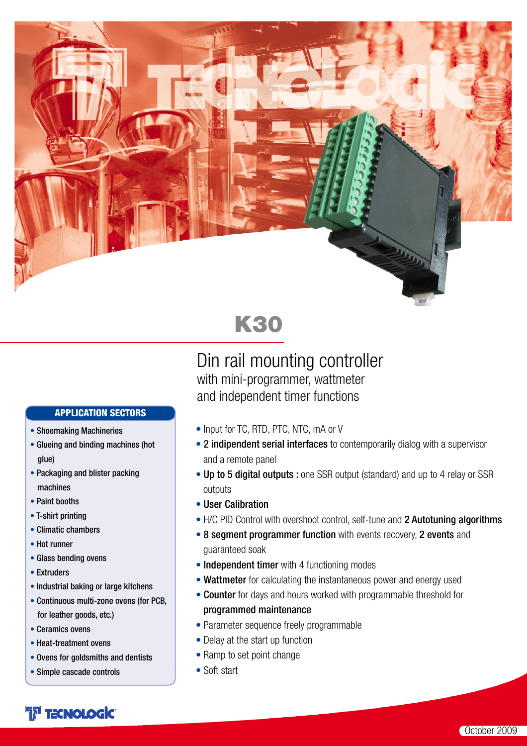

# K30

### Din rail mounting controller with mini-programmer, wattmeter and independent timer functions

### APPLICATION SECTORS

- Shoemaking Machineries
- Glueing and binding machines (hot glue)
- Packaging and blister packing machines
- Paint booths
- T-shirt printing
- Climatic chambers
- Hot runner
- Glass bending ovens
- Extruders
- Industrial baking or large kitchens
- Continuous multi-zone ovens (for PCB, for leather goods, etc.)
- Ceramics ovens
- Heat-treatment ovens
- Ovens for goldsmiths and dentists
- Simple cascade controls

### • Input for TC, RTD, PTC, NTC, mA or V

- 2 indipendent serial interfaces to contemporarily dialog with a supervisor and a remote panel
- Up to 5 digital outputs : one SSR output (standard) and up to 4 relay or SSR outputs
- User Calibration
- H/C PID Control with overshoot control, self-tune and 2 Autotuning algorithms
- 8 segment programmer function with events recovery, 2 events and guaranteed soak
- Independent timer with 4 functioning modes
- Wattmeter for calculating the instantaneous power and energy used
- Counter for days and hours worked with programmable threshold for programmed maintenance
- Parameter sequence freely programmable
- Delay at the start up function
- Ramp to set point change
- Soft start

# **FT TECNOLOGIC**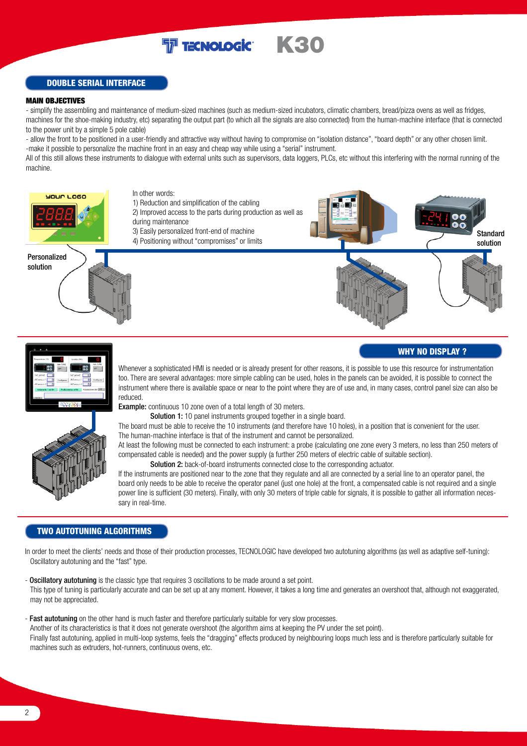### **T** TECNOLOGIC K30

#### DOUBLE SERIAL INTERFACE

#### MAIN OBJECTIVES

- simplify the assembling and maintenance of medium-sized machines (such as medium-sized incubators, climatic chambers, bread/pizza ovens as well as fridges, machines for the shoe-making industry, etc) separating the output part (to which all the signals are also connected) from the human-machine interface (that is connected to the power unit by a simple 5 pole cable)

- allow the front to be positioned in a user-friendly and attractive way without having to compromise on "isolation distance", "board depth" or any other chosen limit. -make it possible to personalize the machine front in an easy and cheap way while using a "serial" instrument.

All of this still allows these instruments to dialogue with external units such as supervisors, data loggers, PLCs, etc without this interfering with the normal running of the machine.



#### WHY NO DISPLAY ?





Whenever a sophisticated HMI is needed or is already present for other reasons, it is possible to use this resource for instrumentation too. There are several advantages: more simple cabling can be used, holes in the panels can be avoided, it is possible to connect the instrument where there is available space or near to the point where they are of use and, in many cases, control panel size can also be reduced.

Example: continuous 10 zone oven of a total length of 30 meters.

Solution 1: 10 panel instruments grouped together in a single board.

The board must be able to receive the 10 instruments (and therefore have 10 holes), in a position that is convenient for the user. The human-machine interface is that of the instrument and cannot be personalized.

At least the following must be connected to each instrument: a probe (calculating one zone every 3 meters, no less than 250 meters of compensated cable is needed) and the power supply (a further 250 meters of electric cable of suitable section).

Solution 2: back-of-board instruments connected close to the corresponding actuator.

If the instruments are positioned near to the zone that they regulate and all are connected by a serial line to an operator panel, the board only needs to be able to receive the operator panel (just one hole) at the front, a compensated cable is not required and a single power line is sufficient (30 meters). Finally, with only 30 meters of triple cable for signals, it is possible to gather all information necessary in real-time.

#### TWO AUTOTUNING ALGORITHMS

In order to meet the clients' needs and those of their production processes, TECNOLOGIC have developed two autotuning algorithms (as well as adaptive self-tuning): Oscillatory autotuning and the "fast" type.

- Oscillatory autotuning is the classic type that requires 3 oscillations to be made around a set point. This type of tuning is particularly accurate and can be set up at any moment. However, it takes a long time and generates an overshoot that, although not exaggerated, may not be appreciated.
- Fast autotuning on the other hand is much faster and therefore particularly suitable for very slow processes. Another of its characteristics is that it does not generate overshoot (the algorithm aims at keeping the PV under the set point). Finally fast autotuning, applied in multi-loop systems, feels the "dragging" effects produced by neighbouring loops much less and is therefore particularly suitable for machines such as extruders, hot-runners, continuous ovens, etc.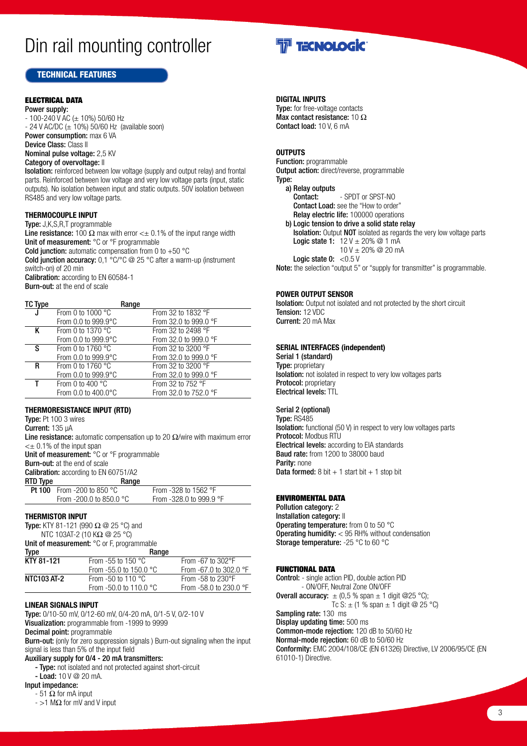# Din rail mounting controller

#### TECHNICAL FEATURES

#### ELECTRICAL DATA

Power supply:  $-100-240$  V AC ( $\pm 10$ %) 50/60 Hz  $-$  24 V AC/DC ( $\pm$  10%) 50/60 Hz (available soon) Power consumption: max 6 VA Device Class: Class II Nominal pulse voltage: 2,5 KV Category of overvoltage: II

Isolation: reinforced between low voltage (supply and output relay) and frontal parts. Reinforced between low voltage and very low voltage parts (input, static outputs). No isolation between input and static outputs. 50V isolation between RS485 and very low voltage parts.

#### **THERMOCOUPLE INPUT**

Type: J,K,S,R,T programmable Line resistance: 100  $\Omega$  max with error < $\pm$  0.1% of the input range width Unit of measurement: °C or °F programmable

**Cold junction:** automatic compensation from 0 to  $+50$  °C

Cold junction accuracy: 0,1 °C/°C @ 25 °C after a warm-up (instrument switch-on) of 20 min

Calibration: according to EN 60584-1 Burn-out: at the end of scale

| TC Type |                                 | Range |                             |
|---------|---------------------------------|-------|-----------------------------|
|         | From 0 to 1000 $^{\circ}$ C     |       | From 32 to 1832 $\degree$ F |
|         | From 0.0 to 999.9°C             |       | From 32.0 to 999.0 °F       |
| K       | From 0 to 1370 $^{\circ}$ C     |       | From 32 to 2498 °F          |
|         | From 0.0 to 999.9°C             |       | From 32.0 to 999.0 °F       |
| s       | From 0 to 1760 $\degree$ C      |       | From 32 to 3200 °F          |
|         | From $0.0$ to $999.9^{\circ}$ C |       | From 32.0 to 999.0 °F       |
| R       | From 0 to 1760 $\degree$ C      |       | From 32 to 3200 °F          |
|         | From 0.0 to $999.9^{\circ}$ C   |       | From 32.0 to 999.0 °F       |
| Τ       | From 0 to 400 $^{\circ}$ C      |       | From 32 to $752$ °F         |
|         | From 0.0 to 400.0°C             |       | From 32.0 to 752.0 °F       |

#### **THERMORESISTANCE INPUT (RTD)**

Type: Pt 100 3 wires

Current: 135 µA

Line resistance: automatic compensation up to 20  $\Omega$ /wire with maximum error  $\lt$  + 0.1% of the input span

Unit of measurement: °C or °F programmable

Burn-out: at the end of scale

Calibration: according to EN 60751/A2

| RTD Type | Range                             |                               |
|----------|-----------------------------------|-------------------------------|
|          | <b>Pt 100</b> From -200 to 850 °C | From -328 to 1562 $\degree$ F |
|          | From -200.0 to 850.0 $^{\circ}$ C | From $-328.0$ to 999.9 °F     |

#### **THERMISTOR INPUT**

Type: KTY 81-121 (990  $\Omega$  @ 25 °C) and NTC 103AT-2 (10 KΩ @ 25 °C)

Unit of measurement: °C or F, programmable

| Range                            |                                   |  |
|----------------------------------|-----------------------------------|--|
| From -55 to 150 $^{\circ}$ C     | From $-67$ to $302^{\circ}F$      |  |
| From -55.0 to 150.0 $^{\circ}$ C | From $-67.0$ to 302.0 $\degree$ F |  |
| From $-50$ to 110 $^{\circ}$ C   | From $-58$ to $230^{\circ}$ F     |  |
| From -50.0 to 110.0 $^{\circ}$ C | From -58.0 to 230.0 °F            |  |
|                                  |                                   |  |

#### **LINEAR SIGNALS INPUT**

Type: 0/10-50 mV, 0/12-60 mV, 0/4-20 mA, 0/1-5 V, 0/2-10 V Visualization: programmable from -1999 to 9999 Decimal point: programmable

Burn-out: (only for zero suppression signals ) Burn-out signaling when the input signal is less than 5% of the input field

#### Auxiliary supply for 0/4 - 20 mA transmitters:

- Type: not isolated and not protected against short-circuit

 $-$  Load: 10 V @ 20 mA.

Input impedance:  $-51$   $\Omega$  for mA input

- >1 MΩ for mV and V input



#### **DIGITAL INPUTS**

Type: for free-voltage contacts Max contact resistance: 10  $\Omega$ Contact load: 10 V, 6 mA

#### **OUTPUTS**

Function: programmable Output action: direct/reverse, programmable Type: a) Relay outputs Contact: - SPDT or SPST-NO Contact Load: see the "How to order" Relay electric life: 100000 operations b) Logic tension to drive a solid state relay Isolation: Output NOT isolated as regards the very low voltage parts **Logic state 1:**  $12 \text{ V} \pm 20\%$  @ 1 mA  $10 V \pm 20\%$  @ 20 mA Logic state  $0: < 0.5$  V

Note: the selection "output 5" or "supply for transmitter" is programmable.

#### **POWER OUTPUT SENSOR**

**Isolation:** Output not isolated and not protected by the short circuit Tension: 12 VDC Current: 20 mA Max

#### **SERIAL INTERFACES (independent)**

Serial 1 (standard) Type: proprietary Isolation: not isolated in respect to very low voltages parts Protocol: proprietary Electrical levels: TTL

#### Serial 2 (optional)

Type: RS485 Isolation: functional (50 V) in respect to very low voltages parts Protocol: Modbus RTU Electrical levels: according to EIA standards Baud rate: from 1200 to 38000 baud Parity: none **Data formed:** 8 bit  $+1$  start bit  $+1$  stop bit

#### ENVIROMENTAL DATA

Pollution category: 2 Installation category: II **Operating temperature:** from 0 to 50 °C Operating humidity: < 95 RH% without condensation Storage temperature: -25 °C to 60 °C

#### FUNCTIONAL DATA

Control: - single action PID, double action PID - ON/OFF, Neutral Zone ON/OFF **Overall accuracy:**  $\pm$  (0,5 % span  $\pm$  1 digit @25 °C); Tc S:  $\pm$  (1 % span  $\pm$  1 digit @ 25 °C) Sampling rate: 130 ms Display updating time: 500 ms Common-mode rejection: 120 dB to 50/60 Hz Normal-mode rejection: 60 dB to 50/60 Hz Conformity: EMC 2004/108/CE (EN 61326) Directive, LV 2006/95/CE (EN 61010-1) Directive.